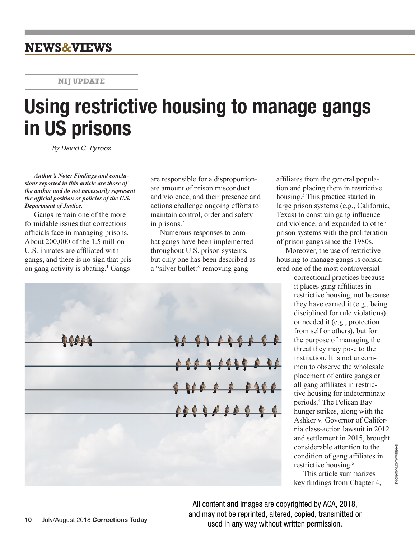## **NEWS&VIEWS**

**NIJ UPDATE**

# **Using restrictive housing to manage gangs in US prisons**

*By David C. Pyrooz*

*Author's Note: Findings and conclusions reported in this article are those of the author and do not necessarily represent the official position or policies of the U.S. Department of Justice.*

Gangs remain one of the more formidable issues that corrections officials face in managing prisons. About 200,000 of the 1.5 million U.S. inmates are affiliated with gangs, and there is no sign that prison gang activity is abating.<sup>1</sup> Gangs

are responsible for a disproportionate amount of prison misconduct and violence, and their presence and actions challenge ongoing efforts to maintain control, order and safety in prisons.<sup>2</sup>

Numerous responses to combat gangs have been implemented throughout U.S. prison systems, but only one has been described as a "silver bullet:" removing gang

<u> 90 01 03 00 0 0</u>  $0000000000000$ 

affiliates from the general population and placing them in restrictive housing.<sup>3</sup> This practice started in large prison systems (e.g., California, Texas) to constrain gang influence and violence, and expanded to other prison systems with the proliferation of prison gangs since the 1980s.

Moreover, the use of restrictive housing to manage gangs is considered one of the most controversial

> correctional practices because it places gang affiliates in restrictive housing, not because they have earned it (e.g., being disciplined for rule violations) or needed it (e.g., protection from self or others), but for the purpose of managing the threat they may pose to the institution. It is not uncommon to observe the wholesale placement of entire gangs or all gang affiliates in restrictive housing for indeterminate periods.<sup>4</sup> The Pelican Bay hunger strikes, along with the Ashker v. Governor of California class-action lawsuit in 2012 and settlement in 2015, brought considerable attention to the condition of gang affiliates in restrictive housing.<sup>5</sup>

This article summarizes key findings from Chapter 4,

All content and images are copyrighted by ACA, 2018, and may not be reprinted, altered, copied, transmitted or used in any way without written permission.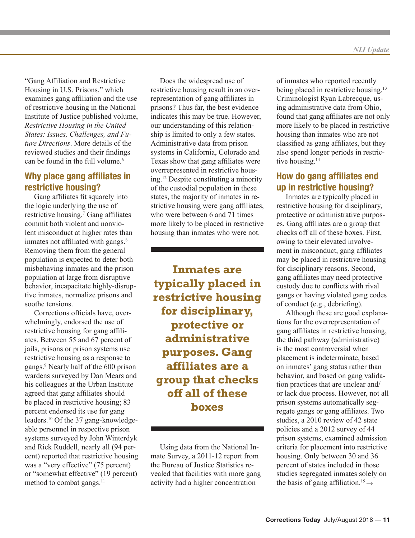"Gang Affiliation and Restrictive Housing in U.S. Prisons," which examines gang affiliation and the use of restrictive housing in the National Institute of Justice published volume, *Restrictive Housing in the United States: Issues, Challenges, and Future Directions*. More details of the reviewed studies and their findings can be found in the full volume.<sup>6</sup>

#### **Why place gang affiliates in restrictive housing?**

Gang affiliates fit squarely into the logic underlying the use of restrictive housing.<sup>7</sup> Gang affiliates commit both violent and nonviolent misconduct at higher rates than inmates not affiliated with gangs.<sup>8</sup> Removing them from the general population is expected to deter both misbehaving inmates and the prison population at large from disruptive behavior, incapacitate highly-disruptive inmates, normalize prisons and soothe tensions.

Corrections officials have, overwhelmingly, endorsed the use of restrictive housing for gang affiliates. Between 55 and 67 percent of jails, prisons or prison systems use restrictive housing as a response to gangs.9 Nearly half of the 600 prison wardens surveyed by Dan Mears and his colleagues at the Urban Institute agreed that gang affiliates should be placed in restrictive housing; 83 percent endorsed its use for gang leaders.10 Of the 37 gang-knowledgeable personnel in respective prison systems surveyed by John Winterdyk and Rick Ruddell, nearly all (94 percent) reported that restrictive housing was a "very effective" (75 percent) or "somewhat effective" (19 percent) method to combat gangs.<sup>11</sup>

Does the widespread use of restrictive housing result in an overrepresentation of gang affiliates in prisons? Thus far, the best evidence indicates this may be true. However, our understanding of this relationship is limited to only a few states. Administrative data from prison systems in California, Colorado and Texas show that gang affiliates were overrepresented in restrictive housing.<sup>12</sup> Despite constituting a minority of the custodial population in these states, the majority of inmates in restrictive housing were gang affiliates, who were between 6 and 71 times more likely to be placed in restrictive housing than inmates who were not.

**Inmates are typically placed in restrictive housing for disciplinary, protective or administrative purposes. Gang affiliates are a group that checks off all of these boxes**

Using data from the National Inmate Survey, a 2011-12 report from the Bureau of Justice Statistics revealed that facilities with more gang activity had a higher concentration

of inmates who reported recently being placed in restrictive housing.<sup>13</sup> Criminologist Ryan Labrecque, using administrative data from Ohio, found that gang affiliates are not only more likely to be placed in restrictive housing than inmates who are not classified as gang affiliates, but they also spend longer periods in restrictive housing.<sup>14</sup>

## **How do gang affiliates end up in restrictive housing?**

Inmates are typically placed in restrictive housing for disciplinary, protective or administrative purposes. Gang affiliates are a group that checks off all of these boxes. First, owing to their elevated involvement in misconduct, gang affiliates may be placed in restrictive housing for disciplinary reasons. Second, gang affiliates may need protective custody due to conflicts with rival gangs or having violated gang codes of conduct (e.g., debriefing).

Although these are good explanations for the overrepresentation of gang affiliates in restrictive housing, the third pathway (administrative) is the most controversial when placement is indeterminate, based on inmates' gang status rather than behavior, and based on gang validation practices that are unclear and/ or lack due process. However, not all prison systems automatically segregate gangs or gang affiliates. Two studies, a 2010 review of 42 state policies and a 2012 survey of 44 prison systems, examined admission criteria for placement into restrictive housing. Only between 30 and 36 percent of states included in those studies segregated inmates solely on the basis of gang affiliation.<sup>15</sup>  $\rightarrow$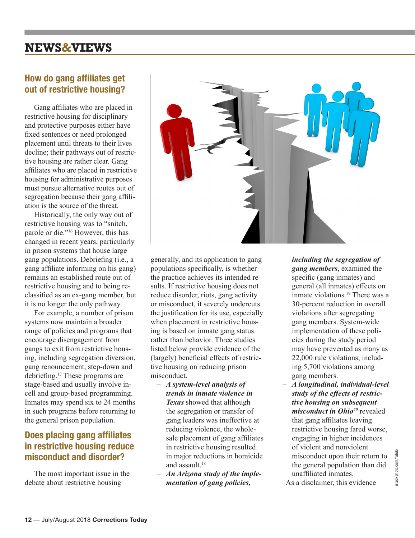# **NEWS&VIEWS**

## **How do gang affiliates get out of restrictive housing?**

Gang affiliates who are placed in restrictive housing for disciplinary and protective purposes either have fixed sentences or need prolonged placement until threats to their lives decline; their pathways out of restrictive housing are rather clear. Gang affiliates who are placed in restrictive housing for administrative purposes must pursue alternative routes out of segregation because their gang affiliation is the source of the threat.

Historically, the only way out of restrictive housing was to "snitch, parole or die."<sup>16</sup> However, this has changed in recent years, particularly in prison systems that house large gang populations. Debriefing (i.e., a gang affiliate informing on his gang) remains an established route out of restrictive housing and to being reclassified as an ex-gang member, but it is no longer the only pathway.

For example, a number of prison systems now maintain a broader range of policies and programs that encourage disengagement from gangs to exit from restrictive housing, including segregation diversion, gang renouncement, step-down and debriefing.<sup>17</sup> These programs are stage-based and usually involve incell and group-based programming. Inmates may spend six to 24 months in such programs before returning to the general prison population.

## **Does placing gang affiliates in restrictive housing reduce misconduct and disorder?**

The most important issue in the debate about restrictive housing



generally, and its application to gang populations specifically, is whether the practice achieves its intended results. If restrictive housing does not reduce disorder, riots, gang activity or misconduct, it severely undercuts the justification for its use, especially when placement in restrictive housing is based on inmate gang status rather than behavior. Three studies listed below provide evidence of the (largely) beneficial effects of restrictive housing on reducing prison misconduct.

- *A system-level analysis of trends in inmate violence in Texas* showed that although the segregation or transfer of gang leaders was ineffective at reducing violence, the wholesale placement of gang affiliates in restrictive housing resulted in major reductions in homicide and assault<sup>18</sup>
- *An Arizona study of the implementation of gang policies,*

*including the segregation of gang members*, examined the specific (gang inmates) and general (all inmates) effects on inmate violations.<sup>19</sup> There was a 30-percent reduction in overall violations after segregating gang members. System-wide implementation of these policies during the study period may have prevented as many as 22,000 rule violations, including 5,700 violations among gang members.

– *A longitudinal, individual-level study of the effects of restrictive housing on subsequent misconduct in Ohio<sup>20</sup>* revealed that gang affiliates leaving restrictive housing fared worse, engaging in higher incidences of violent and nonviolent misconduct upon their return to the general population than did unaffiliated inmates.

As a disclaimer, this evidence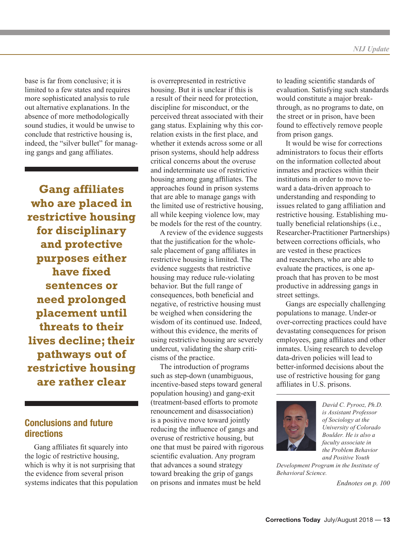base is far from conclusive; it is limited to a few states and requires more sophisticated analysis to rule out alternative explanations. In the absence of more methodologically sound studies, it would be unwise to conclude that restrictive housing is, indeed, the "silver bullet" for managing gangs and gang affiliates.

**Gang affiliates who are placed in restrictive housing for disciplinary and protective purposes either have fixed sentences or need prolonged placement until threats to their lives decline; their pathways out of restrictive housing are rather clear**

#### **Conclusions and future directions**

Gang affiliates fit squarely into the logic of restrictive housing, which is why it is not surprising that the evidence from several prison systems indicates that this population is overrepresented in restrictive housing. But it is unclear if this is a result of their need for protection, discipline for misconduct, or the perceived threat associated with their gang status. Explaining why this correlation exists in the first place, and whether it extends across some or all prison systems, should help address critical concerns about the overuse and indeterminate use of restrictive housing among gang affiliates. The approaches found in prison systems that are able to manage gangs with the limited use of restrictive housing, all while keeping violence low, may be models for the rest of the country.

A review of the evidence suggests that the justification for the wholesale placement of gang affiliates in restrictive housing is limited. The evidence suggests that restrictive housing may reduce rule-violating behavior. But the full range of consequences, both beneficial and negative, of restrictive housing must be weighed when considering the wisdom of its continued use. Indeed, without this evidence, the merits of using restrictive housing are severely undercut, validating the sharp criticisms of the practice.

The introduction of programs such as step-down (unambiguous, incentive-based steps toward general population housing) and gang-exit (treatment-based efforts to promote renouncement and disassociation) is a positive move toward jointly reducing the influence of gangs and overuse of restrictive housing, but one that must be paired with rigorous scientific evaluation. Any program that advances a sound strategy toward breaking the grip of gangs on prisons and inmates must be held

to leading scientific standards of evaluation. Satisfying such standards would constitute a major breakthrough, as no programs to date, on the street or in prison, have been found to effectively remove people from prison gangs.

It would be wise for corrections administrators to focus their efforts on the information collected about inmates and practices within their institutions in order to move toward a data-driven approach to understanding and responding to issues related to gang affiliation and restrictive housing. Establishing mutually beneficial relationships (i.e., Researcher-Practitioner Partnerships) between corrections officials, who are vested in these practices and researchers, who are able to evaluate the practices, is one approach that has proven to be most productive in addressing gangs in street settings.

Gangs are especially challenging populations to manage. Under-or over-correcting practices could have devastating consequences for prison employees, gang affiliates and other inmates. Using research to develop data-driven policies will lead to better-informed decisions about the use of restrictive housing for gang affiliates in U.S. prisons.



*David C. Pyrooz, Ph.D. is Assistant Professor of Sociology at the University of Colorado Boulder. He is also a faculty associate in the Problem Behavior and Positive Youth* 

*Development Program in the Institute of Behavioral Science.*

*Endnotes on p. 100*